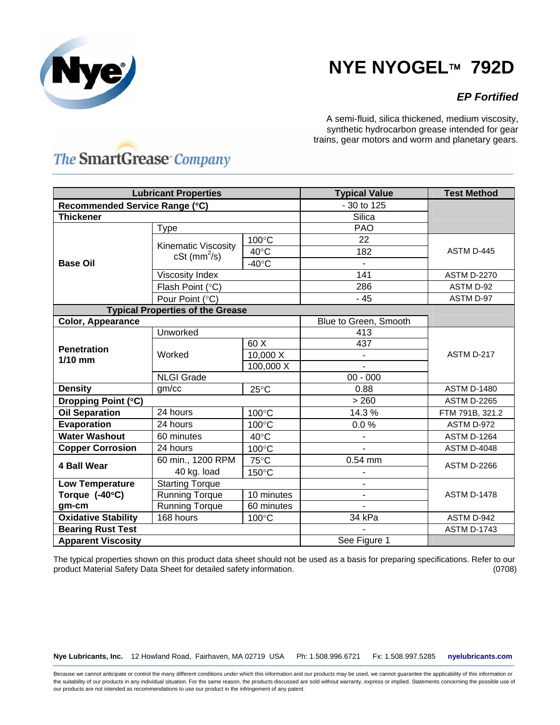

## **NYE NYOGEL**™ **792D**

## *EP Fortified*

A semi-fluid, silica thickened, medium viscosity, synthetic hydrocarbon grease intended for gear trains, gear motors and worm and planetary gears.

## **The SmartGrease Company**

| <b>Lubricant Properties</b>             |                                                          |                 | <b>Typical Value</b>         | <b>Test Method</b> |
|-----------------------------------------|----------------------------------------------------------|-----------------|------------------------------|--------------------|
| Recommended Service Range (°C)          |                                                          |                 | - 30 to 125                  |                    |
| <b>Thickener</b>                        |                                                          |                 | Silica                       |                    |
|                                         | Type                                                     |                 | <b>PAO</b>                   |                    |
| <b>Base Oil</b>                         | <b>Kinematic Viscosity</b><br>$cSt$ (mm <sup>2</sup> /s) | 100°C           | 22                           | ASTM D-445         |
|                                         |                                                          | $40^{\circ}$ C  | 182                          |                    |
|                                         |                                                          | $-40^{\circ}$ C |                              |                    |
|                                         | Viscosity Index                                          |                 | 141                          | <b>ASTM D-2270</b> |
|                                         | Flash Point (°C)                                         |                 | 286                          | ASTM D-92          |
|                                         | Pour Point (°C)                                          |                 | $-45$                        | ASTM D-97          |
| <b>Typical Properties of the Grease</b> |                                                          |                 |                              |                    |
| <b>Color, Appearance</b>                |                                                          |                 | Blue to Green, Smooth        |                    |
| <b>Penetration</b><br>$1/10$ mm         | Unworked                                                 |                 | 413                          | ASTM D-217         |
|                                         | Worked                                                   | 60 X            | 437                          |                    |
|                                         |                                                          | 10,000 X        |                              |                    |
|                                         |                                                          | 100,000 X       |                              |                    |
|                                         | <b>NLGI Grade</b>                                        |                 | $00 - 000$                   |                    |
| <b>Density</b>                          | gm/cc                                                    | $25^{\circ}$ C  | 0.88                         | <b>ASTM D-1480</b> |
| Dropping Point (°C)                     |                                                          | > 260           | <b>ASTM D-2265</b>           |                    |
| <b>Oil Separation</b>                   | 24 hours                                                 | 100°C           | 14.3 %                       | FTM 791B, 321.2    |
| Evaporation                             | 24 hours                                                 | 100°C           | 0.0%                         | ASTM D-972         |
| <b>Water Washout</b>                    | 60 minutes                                               | $40^{\circ}$ C  |                              | <b>ASTM D-1264</b> |
| <b>Copper Corrosion</b>                 | 24 hours                                                 | 100°C           |                              | <b>ASTM D-4048</b> |
| <b>4 Ball Wear</b>                      | 60 min., 1200 RPM                                        | 75°C            | $0.54$ mm                    | <b>ASTM D-2266</b> |
|                                         | 40 kg. load                                              | 150°C           |                              |                    |
| <b>Low Temperature</b>                  | <b>Starting Torque</b>                                   |                 | $\overline{\phantom{0}}$     |                    |
| Torque $(-40^{\circ}C)$                 | <b>Running Torque</b>                                    | 10 minutes      | $\qquad \qquad \blacksquare$ | <b>ASTM D-1478</b> |
| gm-cm                                   | <b>Running Torque</b>                                    | 60 minutes      | $\overline{\phantom{a}}$     |                    |
| <b>Oxidative Stability</b>              | 168 hours                                                | 100°C           | 34 kPa                       | ASTM D-942         |
| <b>Bearing Rust Test</b>                |                                                          |                 |                              | <b>ASTM D-1743</b> |
| <b>Apparent Viscosity</b>               |                                                          |                 | See Figure 1                 |                    |

The typical properties shown on this product data sheet should not be used as a basis for preparing specifications. Refer to our product Material Safety Data Sheet for detailed safety information. (0708)

**Nye Lubricants, Inc.** 12 Howland Road, Fairhaven, MA 02719 USA Ph: 1.508.996.6721 Fx: 1.508.997.5285 **nyelubricants.com**

Because we cannot anticipate or control the many different conditions under which this information and our products may be used, we cannot guarantee the applicability of this information or the suitability of our products in any individual situation. For the same reason, the products discussed are sold without warranty, express or implied. Statements concerning the possible use of our products are not intended as recommendations to use our product in the infringement of any patent.